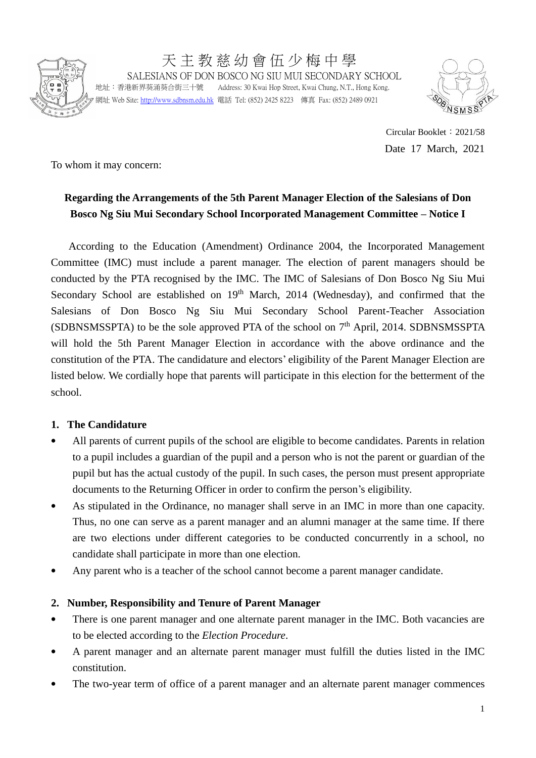

天 主 教 慈 幼 會 伍 少 梅 中 學 SALESIANS OF DON BOSCO NG SIU MUI SECONDARY SCHOOL 地址:香港新界葵涌葵合街三十號 Address: 30 Kwai Hop Street, Kwai Chung, N.T., Hong Kong.

網址 Web Site[: http://www.sdbnsm.edu.hk](http://www.sdbnsm.edu.hk/) 電話 Tel: (852) 2425 8223 傳真 Fax: (852) 2489 0921



Circular Booklet:2021/58 Date 17 March, 2021

To whom it may concern:

# **Regarding the Arrangements of the 5th Parent Manager Election of the Salesians of Don Bosco Ng Siu Mui Secondary School Incorporated Management Committee – Notice I**

According to the Education (Amendment) Ordinance 2004, the Incorporated Management Committee (IMC) must include a parent manager. The election of parent managers should be conducted by the PTA recognised by the IMC. The IMC of Salesians of Don Bosco Ng Siu Mui Secondary School are established on  $19<sup>th</sup>$  March, 2014 (Wednesday), and confirmed that the Salesians of Don Bosco Ng Siu Mui Secondary School Parent-Teacher Association (SDBNSMSSPTA) to be the sole approved PTA of the school on  $7<sup>th</sup>$  April, 2014. SDBNSMSSPTA will hold the 5th Parent Manager Election in accordance with the above ordinance and the constitution of the PTA. The candidature and electors' eligibility of the Parent Manager Election are listed below. We cordially hope that parents will participate in this election for the betterment of the school.

#### **1. The Candidature**

- All parents of current pupils of the school are eligible to become candidates. Parents in relation to a pupil includes a guardian of the pupil and a person who is not the parent or guardian of the pupil but has the actual custody of the pupil. In such cases, the person must present appropriate documents to the Returning Officer in order to confirm the person's eligibility.
- As stipulated in the Ordinance, no manager shall serve in an IMC in more than one capacity. Thus, no one can serve as a parent manager and an alumni manager at the same time. If there are two elections under different categories to be conducted concurrently in a school, no candidate shall participate in more than one election.
- Any parent who is a teacher of the school cannot become a parent manager candidate.

## **2. Number, Responsibility and Tenure of Parent Manager**

- There is one parent manager and one alternate parent manager in the IMC. Both vacancies are to be elected according to the *Election Procedure*.
- A parent manager and an alternate parent manager must fulfill the duties listed in the IMC constitution.
- The two-year term of office of a parent manager and an alternate parent manager commences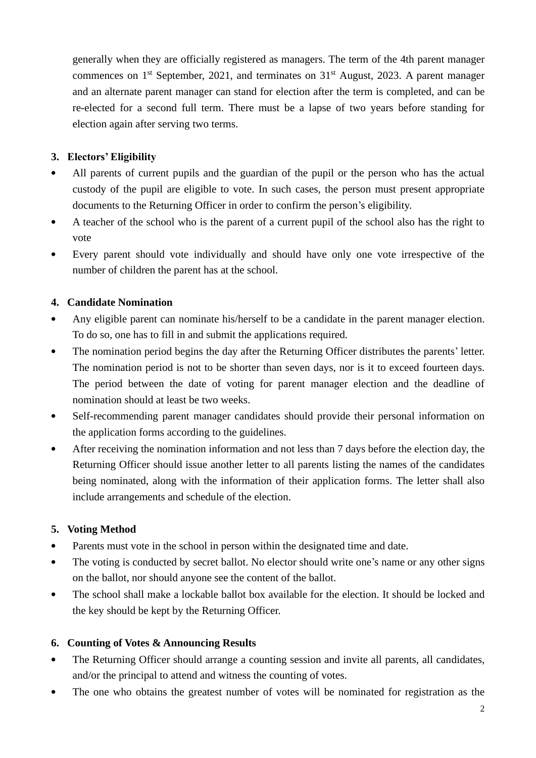generally when they are officially registered as managers. The term of the 4th parent manager commences on  $1<sup>st</sup>$  September, 2021, and terminates on  $31<sup>st</sup>$  August, 2023. A parent manager and an alternate parent manager can stand for election after the term is completed, and can be re-elected for a second full term. There must be a lapse of two years before standing for election again after serving two terms.

### **3. Electors' Eligibility**

- All parents of current pupils and the guardian of the pupil or the person who has the actual custody of the pupil are eligible to vote. In such cases, the person must present appropriate documents to the Returning Officer in order to confirm the person's eligibility.
- A teacher of the school who is the parent of a current pupil of the school also has the right to vote
- Every parent should vote individually and should have only one vote irrespective of the number of children the parent has at the school.

### **4. Candidate Nomination**

- Any eligible parent can nominate his/herself to be a candidate in the parent manager election. To do so, one has to fill in and submit the applications required.
- The nomination period begins the day after the Returning Officer distributes the parents' letter. The nomination period is not to be shorter than seven days, nor is it to exceed fourteen days. The period between the date of voting for parent manager election and the deadline of nomination should at least be two weeks.
- Self-recommending parent manager candidates should provide their personal information on the application forms according to the guidelines.
- After receiving the nomination information and not less than 7 days before the election day, the Returning Officer should issue another letter to all parents listing the names of the candidates being nominated, along with the information of their application forms. The letter shall also include arrangements and schedule of the election.

#### **5. Voting Method**

- Parents must vote in the school in person within the designated time and date.
- The voting is conducted by secret ballot. No elector should write one's name or any other signs on the ballot, nor should anyone see the content of the ballot.
- The school shall make a lockable ballot box available for the election. It should be locked and the key should be kept by the Returning Officer.

## **6. Counting of Votes & Announcing Results**

- The Returning Officer should arrange a counting session and invite all parents, all candidates, and/or the principal to attend and witness the counting of votes.
- The one who obtains the greatest number of votes will be nominated for registration as the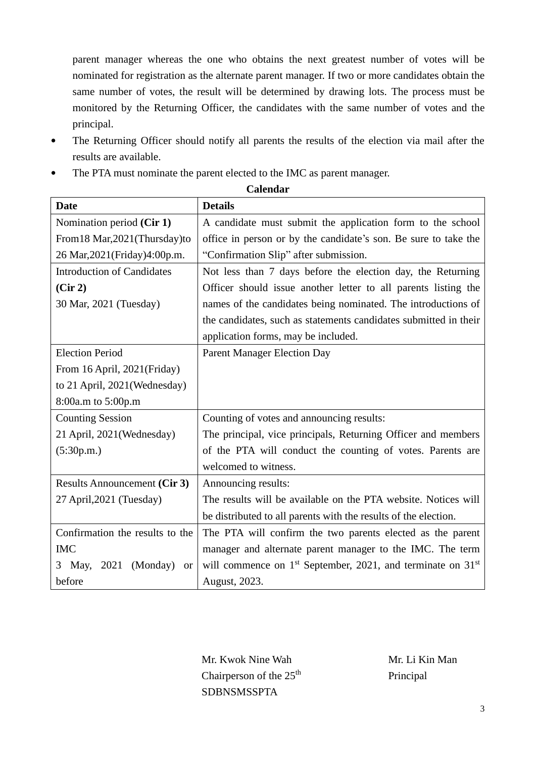parent manager whereas the one who obtains the next greatest number of votes will be nominated for registration as the alternate parent manager. If two or more candidates obtain the same number of votes, the result will be determined by drawing lots. The process must be monitored by the Returning Officer, the candidates with the same number of votes and the principal.

- The Returning Officer should notify all parents the results of the election via mail after the results are available.
- The PTA must nominate the parent elected to the IMC as parent manager.

| <b>Date</b>                                | <b>Details</b>                                                   |
|--------------------------------------------|------------------------------------------------------------------|
| Nomination period (Cir 1)                  | A candidate must submit the application form to the school       |
| From 18 Mar, 2021 (Thursday) to            | office in person or by the candidate's son. Be sure to take the  |
| 26 Mar, 2021 (Friday) 4:00p.m.             | "Confirmation Slip" after submission.                            |
| <b>Introduction of Candidates</b>          | Not less than 7 days before the election day, the Returning      |
| (Cir 2)                                    | Officer should issue another letter to all parents listing the   |
| 30 Mar, 2021 (Tuesday)                     | names of the candidates being nominated. The introductions of    |
|                                            | the candidates, such as statements candidates submitted in their |
|                                            | application forms, may be included.                              |
| <b>Election Period</b>                     | <b>Parent Manager Election Day</b>                               |
| From 16 April, 2021(Friday)                |                                                                  |
| to 21 April, 2021(Wednesday)               |                                                                  |
| 8:00a.m to 5:00p.m                         |                                                                  |
| <b>Counting Session</b>                    | Counting of votes and announcing results:                        |
| 21 April, 2021 (Wednesday)                 | The principal, vice principals, Returning Officer and members    |
| (5:30p.m.)                                 | of the PTA will conduct the counting of votes. Parents are       |
|                                            | welcomed to witness.                                             |
| <b>Results Announcement (Cir 3)</b>        | Announcing results:                                              |
| 27 April, 2021 (Tuesday)                   | The results will be available on the PTA website. Notices will   |
|                                            | be distributed to all parents with the results of the election.  |
| Confirmation the results to the            | The PTA will confirm the two parents elected as the parent       |
| <b>IMC</b>                                 | manager and alternate parent manager to the IMC. The term        |
| 2021<br>(Monday)<br>May,<br>3<br><b>or</b> | will commence on $1st$ September, 2021, and terminate on $31st$  |
| before                                     | August, 2023.                                                    |

**Calendar**

Mr. Kwok Nine Wah Chairperson of the  $25<sup>th</sup>$ **SDBNSMSSPTA** 

Mr. Li Kin Man Principal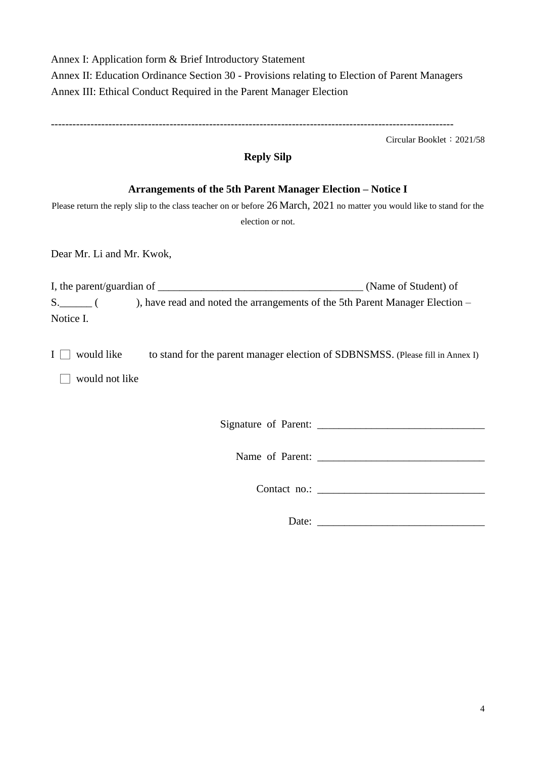Annex I: Application form & Brief Introductory Statement Annex II: Education Ordinance Section 30 - Provisions relating to Election of Parent Managers Annex III: Ethical Conduct Required in the Parent Manager Election

----------------------------------------------------------------------------------------------------------------

Circular Booklet:2021/58

## **Reply Silp**

### **Arrangements of the 5th Parent Manager Election – Notice I**

Please return the reply slip to the class teacher on or before 26 March, 2021 no matter you would like to stand for the election or not.

Dear Mr. Li and Mr. Kwok,

I, the parent/guardian of \_\_\_\_\_\_\_\_\_\_\_\_\_\_\_\_\_\_\_\_\_\_\_\_\_\_\_\_\_\_\_\_\_\_\_\_\_\_ (Name of Student) of S. \_\_\_\_\_ ( ), have read and noted the arrangements of the 5th Parent Manager Election – Notice I.

 $I \Box$  would like to stand for the parent manager election of SDBNSMSS. (Please fill in Annex I)

 $\Box$  would not like

Signature of Parent: \_\_\_\_\_\_\_\_\_\_\_\_\_\_\_\_\_\_\_\_\_\_\_\_\_\_\_\_\_\_\_

Name of Parent:

Contact no.:

Date: \_\_\_\_\_\_\_\_\_\_\_\_\_\_\_\_\_\_\_\_\_\_\_\_\_\_\_\_\_\_\_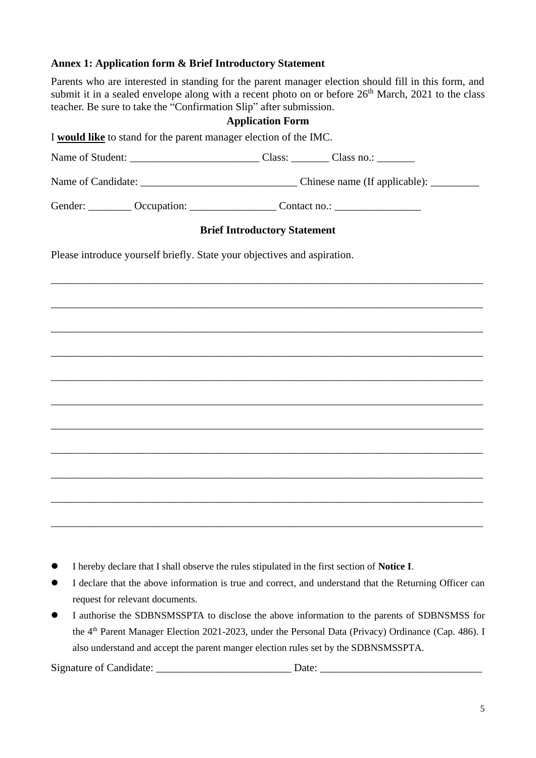#### **Annex 1: Application form & Brief Introductory Statement**

Parents who are interested in standing for the parent manager election should fill in this form, and submit it in a sealed envelope along with a recent photo on or before 26<sup>th</sup> March, 2021 to the class teacher. Be sure to take the "Confirmation Slip" after submission.

#### **Application Form**

I **would like** to stand for the parent manager election of the IMC.

Name of Student: \_\_\_\_\_\_\_\_\_\_\_\_\_\_\_\_\_\_\_\_\_\_\_\_ Class: \_\_\_\_\_\_\_ Class no.: \_\_\_\_\_\_\_

Name of Candidate: \_\_\_\_\_\_\_\_\_\_\_\_\_\_\_\_\_\_\_\_\_\_\_\_\_\_\_\_\_ Chinese name (If applicable): \_\_\_\_\_\_\_\_\_

Gender: \_\_\_\_\_\_\_\_\_ Occupation: \_\_\_\_\_\_\_\_\_\_\_\_\_\_\_\_\_ Contact no.: \_\_\_\_\_\_\_\_\_\_\_\_\_\_\_\_\_\_\_

#### **Brief Introductory Statement**

\_\_\_\_\_\_\_\_\_\_\_\_\_\_\_\_\_\_\_\_\_\_\_\_\_\_\_\_\_\_\_\_\_\_\_\_\_\_\_\_\_\_\_\_\_\_\_\_\_\_\_\_\_\_\_\_\_\_\_\_\_\_\_\_\_\_\_\_\_\_\_\_\_\_\_\_\_\_\_\_

\_\_\_\_\_\_\_\_\_\_\_\_\_\_\_\_\_\_\_\_\_\_\_\_\_\_\_\_\_\_\_\_\_\_\_\_\_\_\_\_\_\_\_\_\_\_\_\_\_\_\_\_\_\_\_\_\_\_\_\_\_\_\_\_\_\_\_\_\_\_\_\_\_\_\_\_\_\_\_\_

\_\_\_\_\_\_\_\_\_\_\_\_\_\_\_\_\_\_\_\_\_\_\_\_\_\_\_\_\_\_\_\_\_\_\_\_\_\_\_\_\_\_\_\_\_\_\_\_\_\_\_\_\_\_\_\_\_\_\_\_\_\_\_\_\_\_\_\_\_\_\_\_\_\_\_\_\_\_\_\_

\_\_\_\_\_\_\_\_\_\_\_\_\_\_\_\_\_\_\_\_\_\_\_\_\_\_\_\_\_\_\_\_\_\_\_\_\_\_\_\_\_\_\_\_\_\_\_\_\_\_\_\_\_\_\_\_\_\_\_\_\_\_\_\_\_\_\_\_\_\_\_\_\_\_\_\_\_\_\_\_

\_\_\_\_\_\_\_\_\_\_\_\_\_\_\_\_\_\_\_\_\_\_\_\_\_\_\_\_\_\_\_\_\_\_\_\_\_\_\_\_\_\_\_\_\_\_\_\_\_\_\_\_\_\_\_\_\_\_\_\_\_\_\_\_\_\_\_\_\_\_\_\_\_\_\_\_\_\_\_\_

\_\_\_\_\_\_\_\_\_\_\_\_\_\_\_\_\_\_\_\_\_\_\_\_\_\_\_\_\_\_\_\_\_\_\_\_\_\_\_\_\_\_\_\_\_\_\_\_\_\_\_\_\_\_\_\_\_\_\_\_\_\_\_\_\_\_\_\_\_\_\_\_\_\_\_\_\_\_\_\_

\_\_\_\_\_\_\_\_\_\_\_\_\_\_\_\_\_\_\_\_\_\_\_\_\_\_\_\_\_\_\_\_\_\_\_\_\_\_\_\_\_\_\_\_\_\_\_\_\_\_\_\_\_\_\_\_\_\_\_\_\_\_\_\_\_\_\_\_\_\_\_\_\_\_\_\_\_\_\_\_

\_\_\_\_\_\_\_\_\_\_\_\_\_\_\_\_\_\_\_\_\_\_\_\_\_\_\_\_\_\_\_\_\_\_\_\_\_\_\_\_\_\_\_\_\_\_\_\_\_\_\_\_\_\_\_\_\_\_\_\_\_\_\_\_\_\_\_\_\_\_\_\_\_\_\_\_\_\_\_\_

\_\_\_\_\_\_\_\_\_\_\_\_\_\_\_\_\_\_\_\_\_\_\_\_\_\_\_\_\_\_\_\_\_\_\_\_\_\_\_\_\_\_\_\_\_\_\_\_\_\_\_\_\_\_\_\_\_\_\_\_\_\_\_\_\_\_\_\_\_\_\_\_\_\_\_\_\_\_\_\_

\_\_\_\_\_\_\_\_\_\_\_\_\_\_\_\_\_\_\_\_\_\_\_\_\_\_\_\_\_\_\_\_\_\_\_\_\_\_\_\_\_\_\_\_\_\_\_\_\_\_\_\_\_\_\_\_\_\_\_\_\_\_\_\_\_\_\_\_\_\_\_\_\_\_\_\_\_\_\_\_

\_\_\_\_\_\_\_\_\_\_\_\_\_\_\_\_\_\_\_\_\_\_\_\_\_\_\_\_\_\_\_\_\_\_\_\_\_\_\_\_\_\_\_\_\_\_\_\_\_\_\_\_\_\_\_\_\_\_\_\_\_\_\_\_\_\_\_\_\_\_\_\_\_\_\_\_\_\_\_\_

Please introduce yourself briefly. State your objectives and aspiration.

⚫ I hereby declare that I shall observe the rules stipulated in the first section of **Notice I**.

- ⚫ I declare that the above information is true and correct, and understand that the Returning Officer can request for relevant documents.
- ⚫ I authorise the SDBNSMSSPTA to disclose the above information to the parents of SDBNSMSS for the 4<sup>th</sup> Parent Manager Election 2021-2023, under the Personal Data (Privacy) Ordinance (Cap. 486). I also understand and accept the parent manger election rules set by the SDBNSMSSPTA.

Signature of Candidate: \_\_\_\_\_\_\_\_\_\_\_\_\_\_\_\_\_\_\_\_\_\_\_\_\_ Date: \_\_\_\_\_\_\_\_\_\_\_\_\_\_\_\_\_\_\_\_\_\_\_\_\_\_\_\_\_\_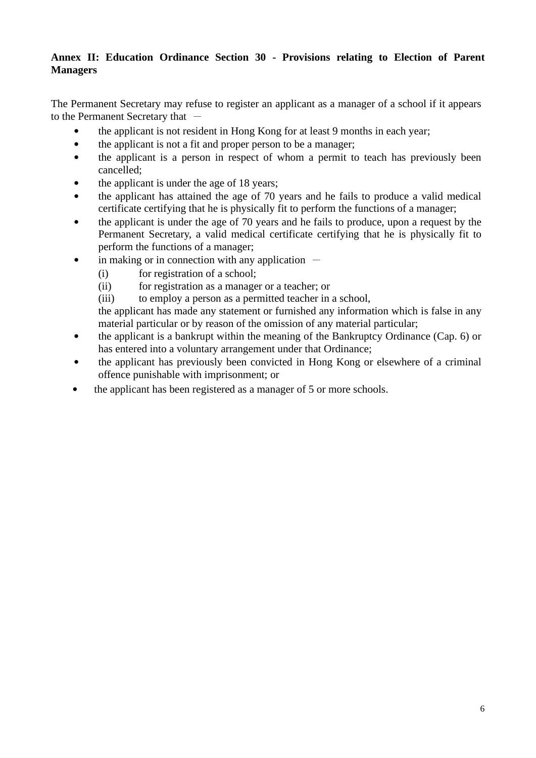### **Annex II: Education Ordinance Section 30 - Provisions relating to Election of Parent Managers**

The Permanent Secretary may refuse to register an applicant as a manager of a school if it appears to the Permanent Secretary that  $-$ 

- the applicant is not resident in Hong Kong for at least 9 months in each year;
- the applicant is not a fit and proper person to be a manager;
- the applicant is a person in respect of whom a permit to teach has previously been cancelled;
- the applicant is under the age of 18 years;
- the applicant has attained the age of 70 years and he fails to produce a valid medical certificate certifying that he is physically fit to perform the functions of a manager;
- the applicant is under the age of 70 years and he fails to produce, upon a request by the Permanent Secretary, a valid medical certificate certifying that he is physically fit to perform the functions of a manager;
- in making or in connection with any application  $-$ 
	- (i) for registration of a school;
	- (ii) for registration as a manager or a teacher; or
	- (iii) to employ a person as a permitted teacher in a school,

the applicant has made any statement or furnished any information which is false in any material particular or by reason of the omission of any material particular;

- the applicant is a bankrupt within the meaning of the Bankruptcy Ordinance (Cap. 6) or has entered into a voluntary arrangement under that Ordinance;
- the applicant has previously been convicted in Hong Kong or elsewhere of a criminal offence punishable with imprisonment; or
- the applicant has been registered as a manager of 5 or more schools.